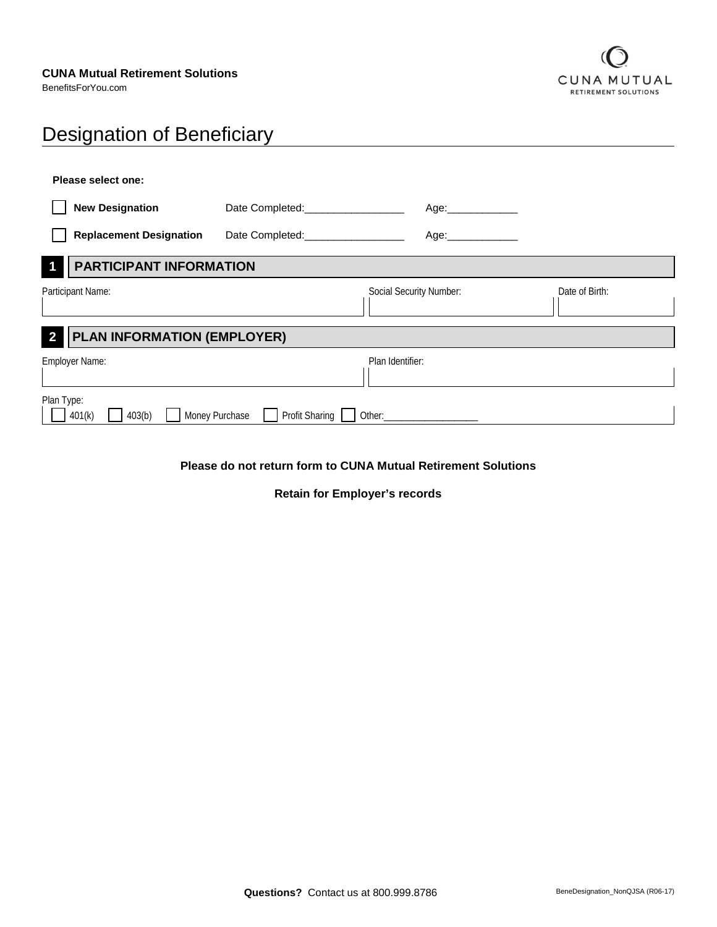BenefitsForYou.com



# Designation of Beneficiary

| Please select one:                                            |                                  |                                                                                                                                                                                                                                |                |
|---------------------------------------------------------------|----------------------------------|--------------------------------------------------------------------------------------------------------------------------------------------------------------------------------------------------------------------------------|----------------|
| <b>New Designation</b>                                        | Date Completed: 2000             | Age:_______________                                                                                                                                                                                                            |                |
| <b>Replacement Designation</b>                                |                                  | Age:______________                                                                                                                                                                                                             |                |
| <b>PARTICIPANT INFORMATION</b>                                |                                  |                                                                                                                                                                                                                                |                |
| Participant Name:                                             |                                  | Social Security Number:                                                                                                                                                                                                        | Date of Birth: |
| <b>PLAN INFORMATION (EMPLOYER)</b><br>$\overline{\mathbf{2}}$ |                                  |                                                                                                                                                                                                                                |                |
| Employer Name:                                                |                                  | Plan Identifier:                                                                                                                                                                                                               |                |
| Plan Type:<br>401(k)<br>403(b)                                | Money Purchase<br>Profit Sharing | Other: and the control of the control of the control of the control of the control of the control of the control of the control of the control of the control of the control of the control of the control of the control of t |                |

**Please do not return form to CUNA Mutual Retirement Solutions**

**Retain for Employer's records**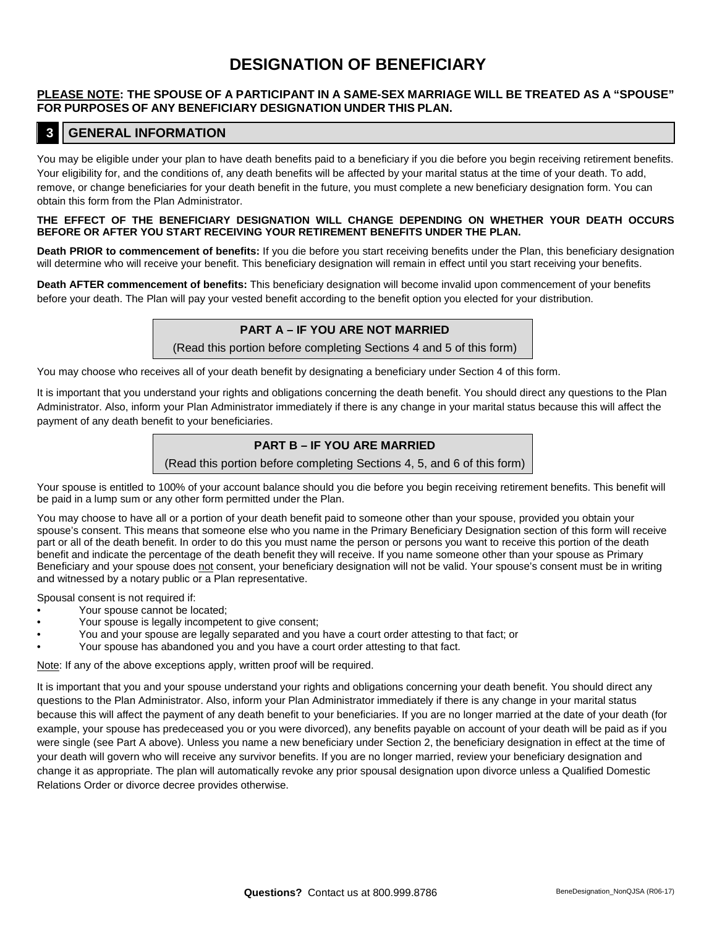# **DESIGNATION OF BENEFICIARY**

#### **PLEASE NOTE: THE SPOUSE OF A PARTICIPANT IN A SAME-SEX MARRIAGE WILL BE TREATED AS A "SPOUSE" FOR PURPOSES OF ANY BENEFICIARY DESIGNATION UNDER THIS PLAN.**

#### **3 GENERAL INFORMATION**

You may be eligible under your plan to have death benefits paid to a beneficiary if you die before you begin receiving retirement benefits. Your eligibility for, and the conditions of, any death benefits will be affected by your marital status at the time of your death. To add, remove, or change beneficiaries for your death benefit in the future, you must complete a new beneficiary designation form. You can obtain this form from the Plan Administrator.

#### **THE EFFECT OF THE BENEFICIARY DESIGNATION WILL CHANGE DEPENDING ON WHETHER YOUR DEATH OCCURS BEFORE OR AFTER YOU START RECEIVING YOUR RETIREMENT BENEFITS UNDER THE PLAN.**

**Death PRIOR to commencement of benefits:** If you die before you start receiving benefits under the Plan, this beneficiary designation will determine who will receive your benefit. This beneficiary designation will remain in effect until you start receiving your benefits.

**Death AFTER commencement of benefits:** This beneficiary designation will become invalid upon commencement of your benefits before your death. The Plan will pay your vested benefit according to the benefit option you elected for your distribution.

#### **PART A – IF YOU ARE NOT MARRIED**

(Read this portion before completing Sections 4 and 5 of this form)

You may choose who receives all of your death benefit by designating a beneficiary under Section 4 of this form.

It is important that you understand your rights and obligations concerning the death benefit. You should direct any questions to the Plan Administrator. Also, inform your Plan Administrator immediately if there is any change in your marital status because this will affect the payment of any death benefit to your beneficiaries.

#### **PART B – IF YOU ARE MARRIED**

(Read this portion before completing Sections 4, 5, and 6 of this form)

Your spouse is entitled to 100% of your account balance should you die before you begin receiving retirement benefits. This benefit will be paid in a lump sum or any other form permitted under the Plan.

You may choose to have all or a portion of your death benefit paid to someone other than your spouse, provided you obtain your spouse's consent. This means that someone else who you name in the Primary Beneficiary Designation section of this form will receive part or all of the death benefit. In order to do this you must name the person or persons you want to receive this portion of the death benefit and indicate the percentage of the death benefit they will receive. If you name someone other than your spouse as Primary Beneficiary and your spouse does not consent, your beneficiary designation will not be valid. Your spouse's consent must be in writing and witnessed by a notary public or a Plan representative.

Spousal consent is not required if:

- Your spouse cannot be located;
- Your spouse is legally incompetent to give consent;
- You and your spouse are legally separated and you have a court order attesting to that fact; or
- Your spouse has abandoned you and you have a court order attesting to that fact.

Note: If any of the above exceptions apply, written proof will be required.

It is important that you and your spouse understand your rights and obligations concerning your death benefit. You should direct any questions to the Plan Administrator. Also, inform your Plan Administrator immediately if there is any change in your marital status because this will affect the payment of any death benefit to your beneficiaries. If you are no longer married at the date of your death (for example, your spouse has predeceased you or you were divorced), any benefits payable on account of your death will be paid as if you were single (see Part A above). Unless you name a new beneficiary under Section 2, the beneficiary designation in effect at the time of your death will govern who will receive any survivor benefits. If you are no longer married, review your beneficiary designation and change it as appropriate. The plan will automatically revoke any prior spousal designation upon divorce unless a Qualified Domestic Relations Order or divorce decree provides otherwise.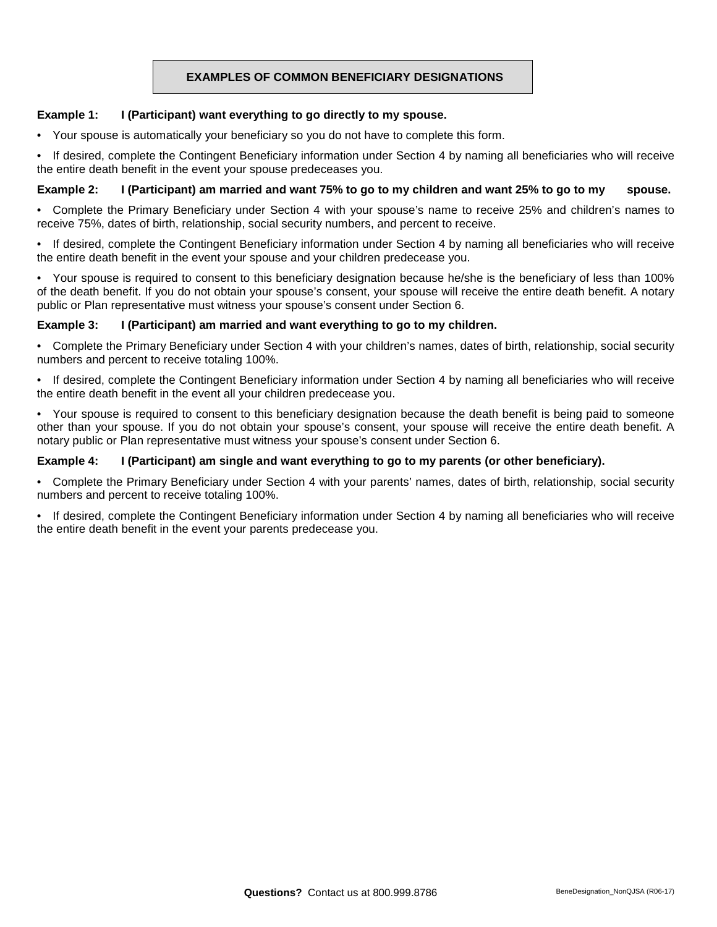### **EXAMPLES OF COMMON BENEFICIARY DESIGNATIONS**

#### **Example 1: I (Participant) want everything to go directly to my spouse.**

• Your spouse is automatically your beneficiary so you do not have to complete this form.

• If desired, complete the Contingent Beneficiary information under Section 4 by naming all beneficiaries who will receive the entire death benefit in the event your spouse predeceases you.

#### **Example 2: I (Participant) am married and want 75% to go to my children and want 25% to go to my spouse.**

• Complete the Primary Beneficiary under Section 4 with your spouse's name to receive 25% and children's names to receive 75%, dates of birth, relationship, social security numbers, and percent to receive.

• If desired, complete the Contingent Beneficiary information under Section 4 by naming all beneficiaries who will receive the entire death benefit in the event your spouse and your children predecease you.

• Your spouse is required to consent to this beneficiary designation because he/she is the beneficiary of less than 100% of the death benefit. If you do not obtain your spouse's consent, your spouse will receive the entire death benefit. A notary public or Plan representative must witness your spouse's consent under Section 6.

#### **Example 3: I (Participant) am married and want everything to go to my children.**

• Complete the Primary Beneficiary under Section 4 with your children's names, dates of birth, relationship, social security numbers and percent to receive totaling 100%.

• If desired, complete the Contingent Beneficiary information under Section 4 by naming all beneficiaries who will receive the entire death benefit in the event all your children predecease you.

• Your spouse is required to consent to this beneficiary designation because the death benefit is being paid to someone other than your spouse. If you do not obtain your spouse's consent, your spouse will receive the entire death benefit. A notary public or Plan representative must witness your spouse's consent under Section 6.

#### **Example 4: I (Participant) am single and want everything to go to my parents (or other beneficiary).**

• Complete the Primary Beneficiary under Section 4 with your parents' names, dates of birth, relationship, social security numbers and percent to receive totaling 100%.

• If desired, complete the Contingent Beneficiary information under Section 4 by naming all beneficiaries who will receive the entire death benefit in the event your parents predecease you.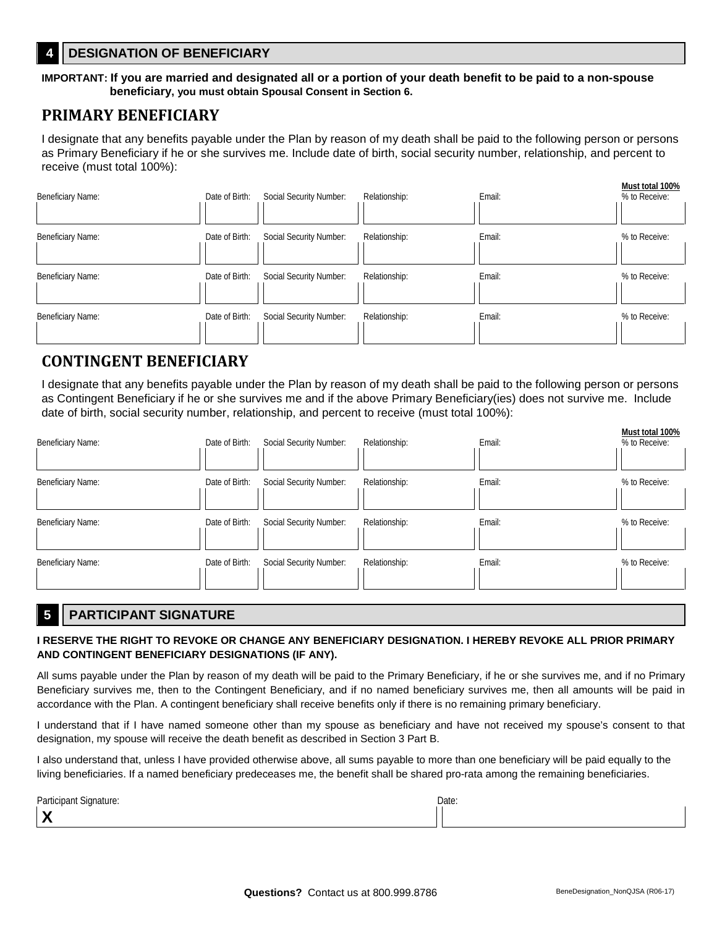## **4 DESIGNATION OF BENEFICIARY**

#### **IMPORTANT: If you are married and designated all or a portion of your death benefit to be paid to a non-spouse beneficiary, you must obtain Spousal Consent in Section 6.**

# **PRIMARY BENEFICIARY**

I designate that any benefits payable under the Plan by reason of my death shall be paid to the following person or persons as Primary Beneficiary if he or she survives me. Include date of birth, social security number, relationship, and percent to receive (must total 100%):

| <b>Beneficiary Name:</b> | Date of Birth: | Social Security Number: | Relationship: | Email: | Must total 100%<br>% to Receive: |
|--------------------------|----------------|-------------------------|---------------|--------|----------------------------------|
| <b>Beneficiary Name:</b> | Date of Birth: | Social Security Number: | Relationship: | Email: | % to Receive:                    |
| <b>Beneficiary Name:</b> | Date of Birth: | Social Security Number: | Relationship: | Email: | % to Receive:                    |
| <b>Beneficiary Name:</b> | Date of Birth: | Social Security Number: | Relationship: | Email: | % to Receive:                    |

# **CONTINGENT BENEFICIARY**

I designate that any benefits payable under the Plan by reason of my death shall be paid to the following person or persons as Contingent Beneficiary if he or she survives me and if the above Primary Beneficiary(ies) does not survive me. Include date of birth, social security number, relationship, and percent to receive (must total 100%):

| Beneficiary Name: | Date of Birth: | Social Security Number: | Relationship: | Email: | Must total 100%<br>% to Receive: |
|-------------------|----------------|-------------------------|---------------|--------|----------------------------------|
| Beneficiary Name: | Date of Birth: | Social Security Number: | Relationship: | Email: | % to Receive:                    |
| Beneficiary Name: | Date of Birth: | Social Security Number: | Relationship: | Email: | % to Receive:                    |
| Beneficiary Name: | Date of Birth: | Social Security Number: | Relationship: | Email: | % to Receive:                    |

## **5 PARTICIPANT SIGNATURE**

#### **I RESERVE THE RIGHT TO REVOKE OR CHANGE ANY BENEFICIARY DESIGNATION. I HEREBY REVOKE ALL PRIOR PRIMARY AND CONTINGENT BENEFICIARY DESIGNATIONS (IF ANY).**

All sums payable under the Plan by reason of my death will be paid to the Primary Beneficiary, if he or she survives me, and if no Primary Beneficiary survives me, then to the Contingent Beneficiary, and if no named beneficiary survives me, then all amounts will be paid in accordance with the Plan. A contingent beneficiary shall receive benefits only if there is no remaining primary beneficiary.

I understand that if I have named someone other than my spouse as beneficiary and have not received my spouse's consent to that designation, my spouse will receive the death benefit as described in Section 3 Part B.

I also understand that, unless I have provided otherwise above, all sums payable to more than one beneficiary will be paid equally to the living beneficiaries. If a named beneficiary predeceases me, the benefit shall be shared pro-rata among the remaining beneficiaries.

| Participant Signature:                          | Date: |
|-------------------------------------------------|-------|
| ີ<br>$\mathbf{v}$<br>$\boldsymbol{\mathcal{L}}$ |       |